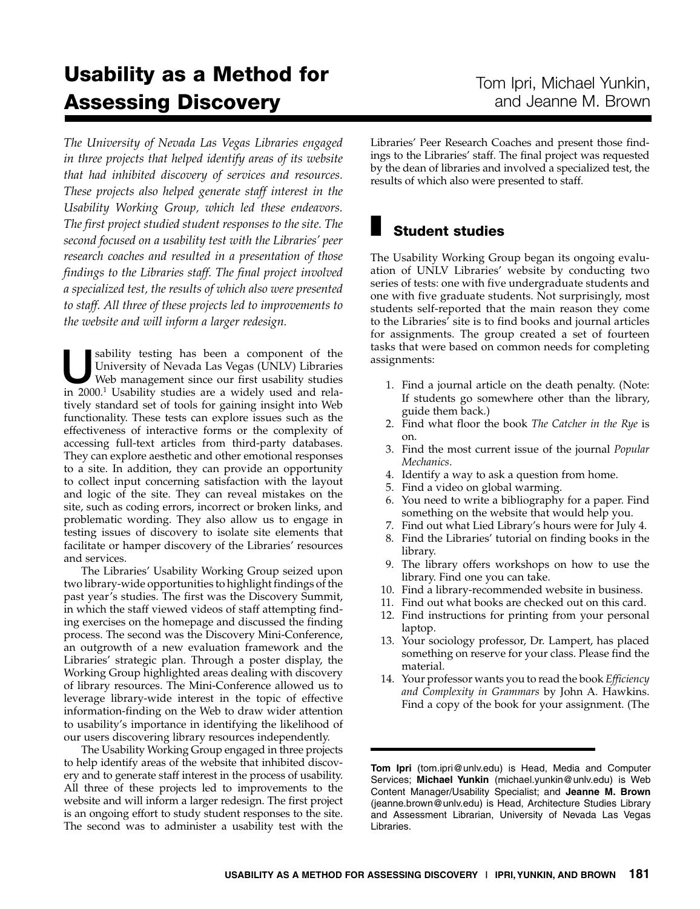# Usability as a Method for Assessing Discovery

*The University of Nevada Las Vegas Libraries engaged in three projects that helped identify areas of its website that had inhibited discovery of services and resources. These projects also helped generate staff interest in the Usability Working Group, which led these endeavors. The first project studied student responses to the site. The second focused on a usability test with the Libraries' peer research coaches and resulted in a presentation of those findings to the Libraries staff. The final project involved a specialized test, the results of which also were presented to staff. All three of these projects led to improvements to the website and will inform a larger redesign.*

sability testing has been a component of the University of Nevada Las Vegas (UNLV) Libraries Web management since our first usability studies in 2000.1 Usability studies are a widely used and relatively standard set of tools for gaining insight into Web functionality. These tests can explore issues such as the effectiveness of interactive forms or the complexity of accessing full-text articles from third-party databases. They can explore aesthetic and other emotional responses to a site. In addition, they can provide an opportunity to collect input concerning satisfaction with the layout and logic of the site. They can reveal mistakes on the site, such as coding errors, incorrect or broken links, and problematic wording. They also allow us to engage in testing issues of discovery to isolate site elements that facilitate or hamper discovery of the Libraries' resources and services.

The Libraries' Usability Working Group seized upon two library-wide opportunities to highlight findings of the past year's studies. The first was the Discovery Summit, in which the staff viewed videos of staff attempting finding exercises on the homepage and discussed the finding process. The second was the Discovery Mini-Conference, an outgrowth of a new evaluation framework and the Libraries' strategic plan. Through a poster display, the Working Group highlighted areas dealing with discovery of library resources. The Mini-Conference allowed us to leverage library-wide interest in the topic of effective information-finding on the Web to draw wider attention to usability's importance in identifying the likelihood of our users discovering library resources independently.

The Usability Working Group engaged in three projects to help identify areas of the website that inhibited discovery and to generate staff interest in the process of usability. All three of these projects led to improvements to the website and will inform a larger redesign. The first project is an ongoing effort to study student responses to the site. The second was to administer a usability test with the

Libraries' Peer Research Coaches and present those findings to the Libraries' staff. The final project was requested by the dean of libraries and involved a specialized test, the results of which also were presented to staff.

## **Student studies**

The Usability Working Group began its ongoing evaluation of UNLV Libraries' website by conducting two series of tests: one with five undergraduate students and one with five graduate students. Not surprisingly, most students self-reported that the main reason they come to the Libraries' site is to find books and journal articles for assignments. The group created a set of fourteen tasks that were based on common needs for completing assignments:

- 1. Find a journal article on the death penalty. (Note: If students go somewhere other than the library, guide them back.)
- 2. Find what floor the book *The Catcher in the Rye* is on.
- 3. Find the most current issue of the journal *Popular Mechanics*.
- 4. Identify a way to ask a question from home.
- 5. Find a video on global warming.
- 6. You need to write a bibliography for a paper. Find something on the website that would help you.
- 7. Find out what Lied Library's hours were for July 4.
- 8. Find the Libraries' tutorial on finding books in the library.
- 9. The library offers workshops on how to use the library. Find one you can take.
- 10. Find a library-recommended website in business.
- 11. Find out what books are checked out on this card.
- 12. Find instructions for printing from your personal laptop.
- 13. Your sociology professor, Dr. Lampert, has placed something on reserve for your class. Please find the material.
- 14. Your professor wants you to read the book *Efficiency and Complexity in Grammars* by John A. Hawkins. Find a copy of the book for your assignment. (The

**Tom Ipri** (tom.ipri@unlv.edu) is Head, Media and Computer Services; **Michael Yunkin** (michael.yunkin@unlv.edu) is Web Content Manager/Usability Specialist; and **Jeanne M. Brown**  (jeanne.brown@unlv.edu) is Head, Architecture Studies Library and Assessment Librarian, University of Nevada Las Vegas Libraries.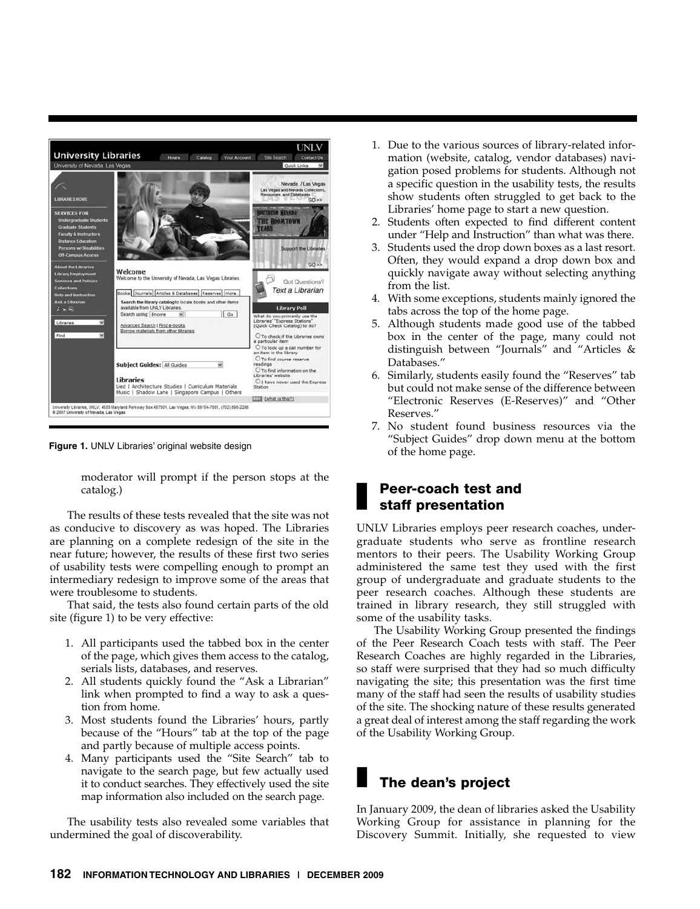

**Figure 1.** UNLV Libraries' original website design

moderator will prompt if the person stops at the catalog.)

The results of these tests revealed that the site was not as conducive to discovery as was hoped. The Libraries are planning on a complete redesign of the site in the near future; however, the results of these first two series of usability tests were compelling enough to prompt an intermediary redesign to improve some of the areas that were troublesome to students.

That said, the tests also found certain parts of the old site (figure 1) to be very effective:

- 1. All participants used the tabbed box in the center of the page, which gives them access to the catalog, serials lists, databases, and reserves.
- 2. All students quickly found the "Ask a Librarian" link when prompted to find a way to ask a question from home.
- 3. Most students found the Libraries' hours, partly because of the "Hours" tab at the top of the page and partly because of multiple access points.
- 4. Many participants used the "Site Search" tab to navigate to the search page, but few actually used it to conduct searches. They effectively used the site map information also included on the search page.

The usability tests also revealed some variables that undermined the goal of discoverability.

- 1. Due to the various sources of library-related information (website, catalog, vendor databases) navigation posed problems for students. Although not a specific question in the usability tests, the results show students often struggled to get back to the Libraries' home page to start a new question.
- 2. Students often expected to find different content under "Help and Instruction" than what was there.
- 3. Students used the drop down boxes as a last resort. Often, they would expand a drop down box and quickly navigate away without selecting anything from the list.
- 4. With some exceptions, students mainly ignored the tabs across the top of the home page.
- 5. Although students made good use of the tabbed box in the center of the page, many could not distinguish between "Journals" and "Articles & Databases."
- 6. Similarly, students easily found the "Reserves" tab but could not make sense of the difference between "Electronic Reserves (E-Reserves)" and "Other Reserves."
- 7. No student found business resources via the "Subject Guides" drop down menu at the bottom of the home page.

#### Peer-coach test and staff presentation

UNLV Libraries employs peer research coaches, undergraduate students who serve as frontline research mentors to their peers. The Usability Working Group administered the same test they used with the first group of undergraduate and graduate students to the peer research coaches. Although these students are trained in library research, they still struggled with some of the usability tasks.

The Usability Working Group presented the findings of the Peer Research Coach tests with staff. The Peer Research Coaches are highly regarded in the Libraries, so staff were surprised that they had so much difficulty navigating the site; this presentation was the first time many of the staff had seen the results of usability studies of the site. The shocking nature of these results generated a great deal of interest among the staff regarding the work of the Usability Working Group.

### The dean's project

In January 2009, the dean of libraries asked the Usability Working Group for assistance in planning for the Discovery Summit. Initially, she requested to view